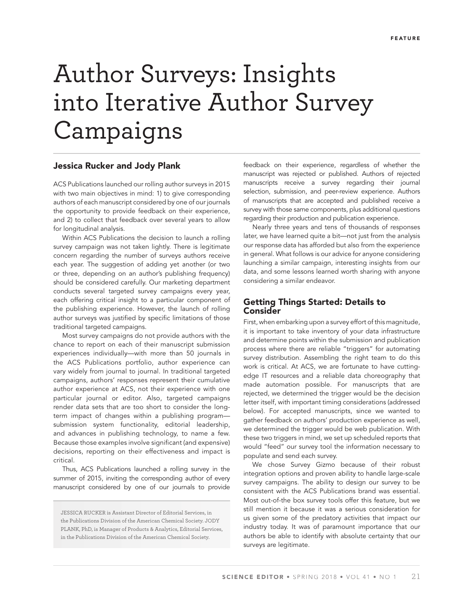# Author Surveys: Insights into Iterative Author Survey Campaigns

### **Jessica Rucker and Jody Plank**

ACS Publications launched our rolling author surveys in 2015 with two main objectives in mind: 1) to give corresponding authors of each manuscript considered by one of our journals the opportunity to provide feedback on their experience, and 2) to collect that feedback over several years to allow for longitudinal analysis.

Within ACS Publications the decision to launch a rolling survey campaign was not taken lightly. There is legitimate concern regarding the number of surveys authors receive each year. The suggestion of adding yet another (or two or three, depending on an author's publishing frequency) should be considered carefully. Our marketing department conducts several targeted survey campaigns every year, each offering critical insight to a particular component of the publishing experience. However, the launch of rolling author surveys was justified by specific limitations of those traditional targeted campaigns.

Most survey campaigns do not provide authors with the chance to report on each of their manuscript submission experiences individually—with more than 50 journals in the ACS Publications portfolio, author experience can vary widely from journal to journal. In traditional targeted campaigns, authors' responses represent their cumulative author experience at ACS, not their experience with one particular journal or editor. Also, targeted campaigns render data sets that are too short to consider the longterm impact of changes within a publishing program submission system functionality, editorial leadership, and advances in publishing technology, to name a few. Because those examples involve significant (and expensive) decisions, reporting on their effectiveness and impact is critical.

Thus, ACS Publications launched a rolling survey in the summer of 2015, inviting the corresponding author of every manuscript considered by one of our journals to provide

JESSICA RUCKER is Assistant Director of Editorial Services, in the Publications Division of the American Chemical Society. JODY PLANK, PhD, is Manager of Products & Analytics, Editorial Services, in the Publications Division of the American Chemical Society.

feedback on their experience, regardless of whether the manuscript was rejected or published. Authors of rejected manuscripts receive a survey regarding their journal selection, submission, and peer-review experience. Authors of manuscripts that are accepted and published receive a survey with those same components, plus additional questions regarding their production and publication experience.

Nearly three years and tens of thousands of responses later, we have learned quite a bit—not just from the analysis our response data has afforded but also from the experience in general. What follows is our advice for anyone considering launching a similar campaign, interesting insights from our data, and some lessons learned worth sharing with anyone considering a similar endeavor.

# **Getting Things Started: Details to Consider**

First, when embarking upon a survey effort of this magnitude, it is important to take inventory of your data infrastructure and determine points within the submission and publication process where there are reliable "triggers" for automating survey distribution. Assembling the right team to do this work is critical. At ACS, we are fortunate to have cuttingedge IT resources and a reliable data choreography that made automation possible. For manuscripts that are rejected, we determined the trigger would be the decision letter itself, with important timing considerations (addressed below). For accepted manuscripts, since we wanted to gather feedback on authors' production experience as well, we determined the trigger would be web publication. With these two triggers in mind, we set up scheduled reports that would "feed" our survey tool the information necessary to populate and send each survey.

We chose Survey Gizmo because of their robust integration options and proven ability to handle large-scale survey campaigns. The ability to design our survey to be consistent with the ACS Publications brand was essential. Most out-of-the box survey tools offer this feature, but we still mention it because it was a serious consideration for us given some of the predatory activities that impact our industry today. It was of paramount importance that our authors be able to identify with absolute certainty that our surveys are legitimate.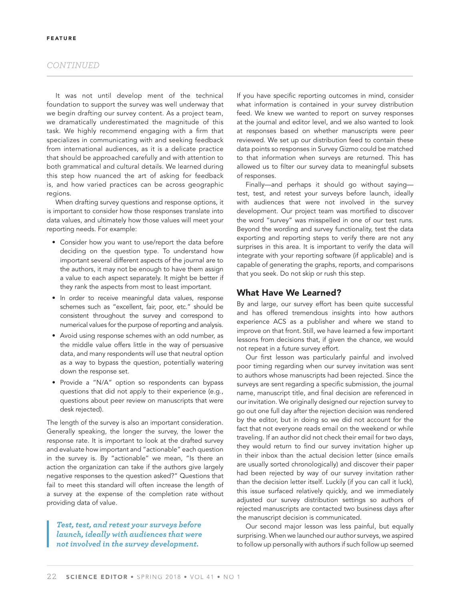## *CONTINUED*

It was not until develop ment of the technical foundation to support the survey was well underway that we begin drafting our survey content. As a project team, we dramatically underestimated the magnitude of this task. We highly recommend engaging with a firm that specializes in communicating with and seeking feedback from international audiences, as it is a delicate practice that should be approached carefully and with attention to both grammatical and cultural details. We learned during this step how nuanced the art of asking for feedback is, and how varied practices can be across geographic regions.

When drafting survey questions and response options, it is important to consider how those responses translate into data values, and ultimately how those values will meet your reporting needs. For example:

- Consider how you want to use/report the data before deciding on the question type. To understand how important several different aspects of the journal are to the authors, it may not be enough to have them assign a value to each aspect separately. It might be better if they rank the aspects from most to least important.
- In order to receive meaningful data values, response schemes such as "excellent, fair, poor, etc." should be consistent throughout the survey and correspond to numerical values for the purpose of reporting and analysis.
- Avoid using response schemes with an odd number, as the middle value offers little in the way of persuasive data, and many respondents will use that neutral option as a way to bypass the question, potentially watering down the response set.
- Provide a "N/A" option so respondents can bypass questions that did not apply to their experience (e.g., questions about peer review on manuscripts that were desk rejected).

The length of the survey is also an important consideration. Generally speaking, the longer the survey, the lower the response rate. It is important to look at the drafted survey and evaluate how important and "actionable" each question in the survey is. By "actionable" we mean, "Is there an action the organization can take if the authors give largely negative responses to the question asked?" Questions that fail to meet this standard will often increase the length of a survey at the expense of the completion rate without providing data of value.

*Test, test, and retest your surveys before launch, ideally with audiences that were not involved in the survey development.*

If you have specific reporting outcomes in mind, consider what information is contained in your survey distribution feed. We knew we wanted to report on survey responses at the journal and editor level, and we also wanted to look at responses based on whether manuscripts were peer reviewed. We set up our distribution feed to contain these data points so responses in Survey Gizmo could be matched to that information when surveys are returned. This has allowed us to filter our survey data to meaningful subsets of responses.

Finally—and perhaps it should go without saying test, test, and retest your surveys before launch, ideally with audiences that were not involved in the survey development. Our project team was mortified to discover the word "survey" was misspelled in one of our test runs. Beyond the wording and survey functionality, test the data exporting and reporting steps to verify there are not any surprises in this area. It is important to verify the data will integrate with your reporting software (if applicable) and is capable of generating the graphs, reports, and comparisons that you seek. Do not skip or rush this step.

### **What Have We Learned?**

By and large, our survey effort has been quite successful and has offered tremendous insights into how authors experience ACS as a publisher and where we stand to improve on that front. Still, we have learned a few important lessons from decisions that, if given the chance, we would not repeat in a future survey effort.

Our first lesson was particularly painful and involved poor timing regarding when our survey invitation was sent to authors whose manuscripts had been rejected. Since the surveys are sent regarding a specific submission, the journal name, manuscript title, and final decision are referenced in our invitation. We originally designed our rejection survey to go out one full day after the rejection decision was rendered by the editor, but in doing so we did not account for the fact that not everyone reads email on the weekend or while traveling. If an author did not check their email for two days, they would return to find our survey invitation higher up in their inbox than the actual decision letter (since emails are usually sorted chronologically) and discover their paper had been rejected by way of our survey invitation rather than the decision letter itself. Luckily (if you can call it luck), this issue surfaced relatively quickly, and we immediately adjusted our survey distribution settings so authors of rejected manuscripts are contacted two business days after the manuscript decision is communicated.

Our second major lesson was less painful, but equally surprising. When we launched our author surveys, we aspired to follow up personally with authors if such follow up seemed